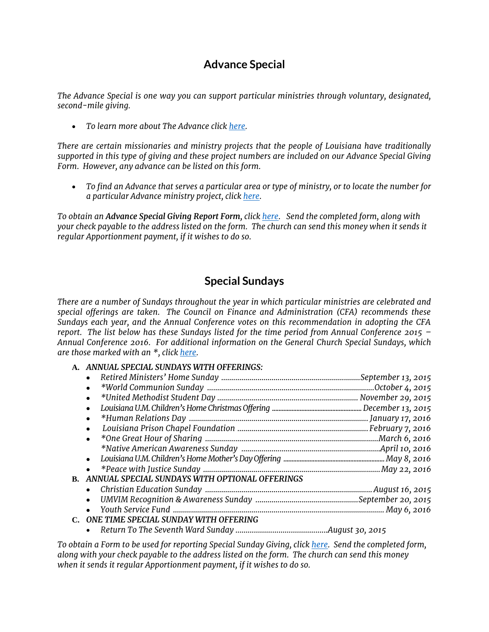## **Advance Special**

*The Advance Special is one way you can support particular ministries through voluntary, designated, second-mile giving.* 

*To learn more about The Advance clic[k here.](http://www.umcmission.org/Give-to-Mission/About-the-Advance/About-The-Advance)* 

*There are certain missionaries and ministry projects that the people of Louisiana have traditionally supported in this type of giving and these project numbers are included on our Advance Special Giving Form. However, any advance can be listed on this form.* 

 *To find an Advance that serves a particular area or type of ministry, or to locate the number for a particular Advance ministry project, clic[k here.](http://www.umcmission.org/Give-to-Mission/Search-for-Projects/Advance-Project-Search)*

*To obtain an Advance Special Giving Report Form, clic[k here.](/files/finances/2015_advance_special_report_t8lyh7bm.pdf) Send the completed form, along with your check payable to the address listed on the form. The church can send this money when it sends it regular Apportionment payment, if it wishes to do so.*

## **Special Sundays**

*There are a number of Sundays throughout the year in which particular ministries are celebrated and special offerings are taken. The Council on Finance and Administration (CFA) recommends these Sundays each year, and the Annual Conference votes on this recommendation in adopting the CFA report. The list below has these Sundays listed for the time period from Annual Conference 2015 – Annual Conference 2016. For additional information on the General Church Special Sundays, which are those marked with an \*, clic[k here.](http://www.umcgiving.org/how-we-give#sundays)*

**A.** *ANNUAL SPECIAL SUNDAYS WITH OFFERINGS:*

|    | Retired Ministers' Home Sunday …………………………………………………………………September 13, 2015 |  |
|----|----------------------------------------------------------------------------|--|
|    | $\bullet$                                                                  |  |
|    | $\bullet$                                                                  |  |
|    | $\bullet$                                                                  |  |
|    | ٠                                                                          |  |
|    | $\bullet$                                                                  |  |
|    |                                                                            |  |
|    |                                                                            |  |
|    |                                                                            |  |
|    |                                                                            |  |
| B. | ANNUAL SPECIAL SUNDAYS WITH OPTIONAL OFFERINGS                             |  |
|    |                                                                            |  |
|    |                                                                            |  |
|    |                                                                            |  |
|    | C. ONE TIME SPECIAL SUNDAY WITH OFFERING                                   |  |
|    |                                                                            |  |

*To obtain a Form to be used for reporting Special Sunday Giving, click [here.](/files/finances/special+sunday+remitance.pdf) Send the completed form, along with your check payable to the address listed on the form. The church can send this money when it sends it regular Apportionment payment, if it wishes to do so.*